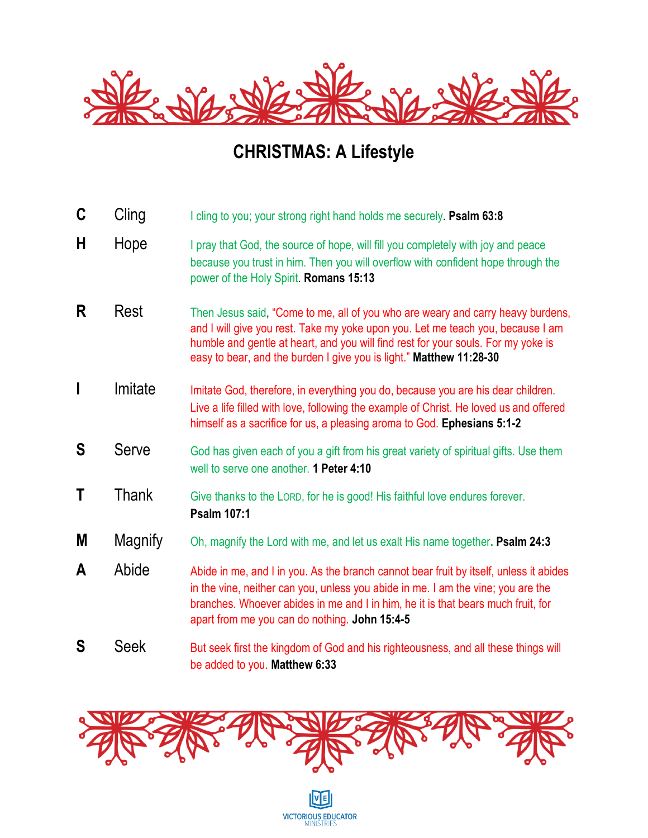

## **CHRISTMAS: A Lifestyle**

- **C** Cling I cling to you; your strong right hand holds me securely. **Psalm 63:8**
- **H** Hope I pray that God, the source of hope, will fill you completely with joy and peace because you trust in him. Then you will overflow with confident hope through the power of the Holy Spirit. **Romans 15:13**
- **R** Rest Then Jesus said, "Come to me, all of you who are weary and carry heavy burdens, and I will give you rest. Take my yoke upon you. Let me teach you, because I am humble and gentle at heart, and you will find rest for your souls. For my yoke is easy to bear, and the burden I give you is light." **Matthew 11:28-30**
- **I** Imitate Imitate God, therefore, in everything you do, because you are his dear children. Live a life filled with love, following the example of Christ. He loved us and offered himself as a sacrifice for us, a pleasing aroma to God. **Ephesians 5:1-2**
- **S** Serve God has given each of you a gift from his great variety of spiritual gifts. Use them well to serve one another. **1 Peter 4:10**
- **T** Thank Give thanks to the LORD, for he is good! His faithful love endures forever. **Psalm 107:1**
- **M** Magnify Oh, magnify the Lord with me, and let us exalt His name together**. Psalm 24:3**
- A Abide Abide in me, and I in you. As the branch cannot bear fruit by itself, unless it abides in the vine, neither can you, unless you abide in me. I am the vine; you are the branches. Whoever abides in me and I in him, he it is that bears much fruit, for apart from me you can do nothing. **John 15:4-5**
- **S** Seek But seek first the kingdom of God and his righteousness, and all these things will be added to you. **Matthew 6:33**